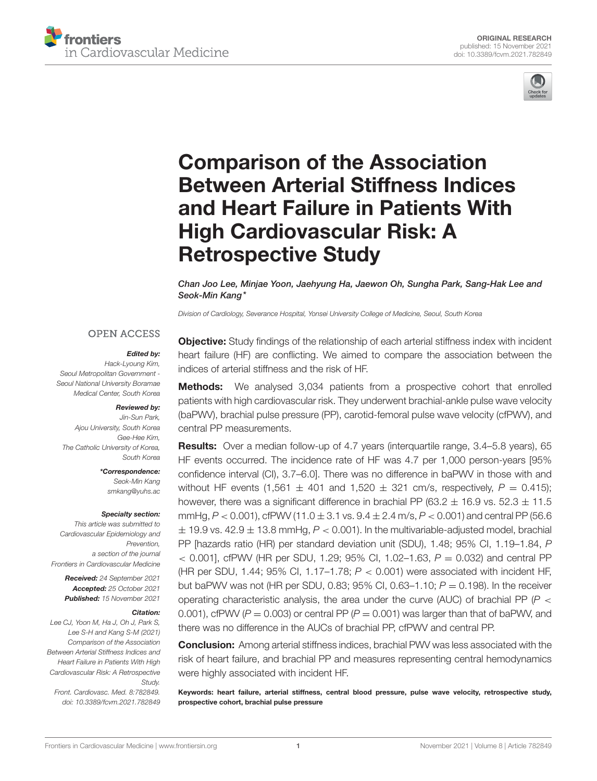



# Comparison of the Association [Between Arterial Stiffness Indices](https://www.frontiersin.org/articles/10.3389/fcvm.2021.782849/full) and Heart Failure in Patients With High Cardiovascular Risk: A Retrospective Study

Chan Joo Lee, Minjae Yoon, Jaehyung Ha, Jaewon Oh, Sungha Park, Sang-Hak Lee and Seok-Min Kang\*

*Division of Cardiology, Severance Hospital, Yonsei University College of Medicine, Seoul, South Korea*

#### **OPEN ACCESS**

## Edited by:

*Hack-Lyoung Kim, Seoul Metropolitan Government - Seoul National University Boramae Medical Center, South Korea*

#### Reviewed by:

*Jin-Sun Park, Ajou University, South Korea Gee-Hee Kim, The Catholic University of Korea, South Korea*

> \*Correspondence: *Seok-Min Kang [smkang@yuhs.ac](mailto:smkang@yuhs.ac)*

#### Specialty section:

*This article was submitted to Cardiovascular Epidemiology and Prevention, a section of the journal Frontiers in Cardiovascular Medicine*

> Received: *24 September 2021* Accepted: *25 October 2021* Published: *15 November 2021*

#### Citation:

*Lee CJ, Yoon M, Ha J, Oh J, Park S, Lee S-H and Kang S-M (2021) Comparison of the Association Between Arterial Stiffness Indices and Heart Failure in Patients With High Cardiovascular Risk: A Retrospective Study.*

*Front. Cardiovasc. Med. 8:782849. doi: [10.3389/fcvm.2021.782849](https://doi.org/10.3389/fcvm.2021.782849)*

**Objective:** Study findings of the relationship of each arterial stiffness index with incident heart failure (HF) are conflicting. We aimed to compare the association between the indices of arterial stiffness and the risk of HF.

**Methods:** We analysed 3,034 patients from a prospective cohort that enrolled patients with high cardiovascular risk. They underwent brachial-ankle pulse wave velocity (baPWV), brachial pulse pressure (PP), carotid-femoral pulse wave velocity (cfPWV), and central PP measurements.

Results: Over a median follow-up of 4.7 years (interquartile range, 3.4–5.8 years), 65 HF events occurred. The incidence rate of HF was 4.7 per 1,000 person-years [95% confidence interval (CI), 3.7–6.0]. There was no difference in baPWV in those with and without HF events (1,561  $\pm$  401 and 1,520  $\pm$  321 cm/s, respectively,  $P = 0.415$ ); however, there was a significant difference in brachial PP (63.2  $\pm$  16.9 vs. 52.3  $\pm$  11.5 mmHg,  $P < 0.001$ ), cfPWV (11.0  $\pm$  3.1 vs.  $9.4 \pm 2.4$  m/s,  $P < 0.001$ ) and central PP (56.6  $\pm$  19.9 vs. 42.9  $\pm$  13.8 mmHg,  $P < 0.001$ ). In the multivariable-adjusted model, brachial PP [hazards ratio (HR) per standard deviation unit (SDU), 1.48; 95% CI, 1.19–1.84, *P*  $<$  0.001], cfPWV (HR per SDU, 1.29; 95% CI, 1.02–1.63,  $P = 0.032$ ) and central PP (HR per SDU, 1.44; 95% CI, 1.17–1.78; *P* < 0.001) were associated with incident HF, but baPWV was not (HR per SDU, 0.83; 95% CI, 0.63–1.10;  $P = 0.198$ ). In the receiver operating characteristic analysis, the area under the curve (AUC) of brachial PP ( $P$  < 0.001), cfPWV ( $P = 0.003$ ) or central PP ( $P = 0.001$ ) was larger than that of baPWV, and there was no difference in the AUCs of brachial PP, cfPWV and central PP.

Conclusion: Among arterial stiffness indices, brachial PWV was less associated with the risk of heart failure, and brachial PP and measures representing central hemodynamics were highly associated with incident HF.

Keywords: heart failure, arterial stiffness, central blood pressure, pulse wave velocity, retrospective study, prospective cohort, brachial pulse pressure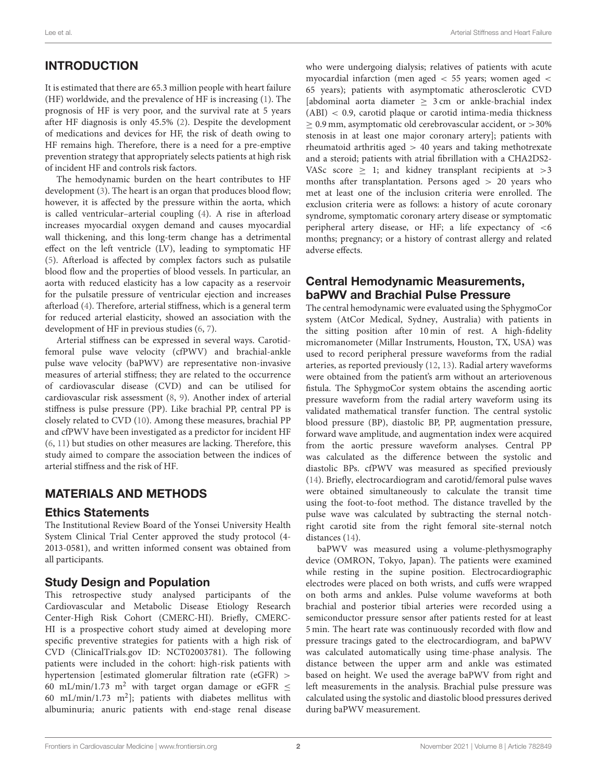# INTRODUCTION

It is estimated that there are 65.3 million people with heart failure (HF) worldwide, and the prevalence of HF is increasing [\(1\)](#page-7-0). The prognosis of HF is very poor, and the survival rate at 5 years after HF diagnosis is only 45.5% [\(2\)](#page-7-1). Despite the development of medications and devices for HF, the risk of death owing to HF remains high. Therefore, there is a need for a pre-emptive prevention strategy that appropriately selects patients at high risk of incident HF and controls risk factors.

The hemodynamic burden on the heart contributes to HF development [\(3\)](#page-7-2). The heart is an organ that produces blood flow; however, it is affected by the pressure within the aorta, which is called ventricular–arterial coupling [\(4\)](#page-7-3). A rise in afterload increases myocardial oxygen demand and causes myocardial wall thickening, and this long-term change has a detrimental effect on the left ventricle (LV), leading to symptomatic HF [\(5\)](#page-7-4). Afterload is affected by complex factors such as pulsatile blood flow and the properties of blood vessels. In particular, an aorta with reduced elasticity has a low capacity as a reservoir for the pulsatile pressure of ventricular ejection and increases afterload [\(4\)](#page-7-3). Therefore, arterial stiffness, which is a general term for reduced arterial elasticity, showed an association with the development of HF in previous studies [\(6,](#page-7-5) [7\)](#page-7-6).

Arterial stiffness can be expressed in several ways. Carotidfemoral pulse wave velocity (cfPWV) and brachial-ankle pulse wave velocity (baPWV) are representative non-invasive measures of arterial stiffness; they are related to the occurrence of cardiovascular disease (CVD) and can be utilised for cardiovascular risk assessment [\(8,](#page-7-7) [9\)](#page-7-8). Another index of arterial stiffness is pulse pressure (PP). Like brachial PP, central PP is closely related to CVD [\(10\)](#page-7-9). Among these measures, brachial PP and cfPWV have been investigated as a predictor for incident HF [\(6,](#page-7-5) [11\)](#page-7-10) but studies on other measures are lacking. Therefore, this study aimed to compare the association between the indices of arterial stiffness and the risk of HF.

# MATERIALS AND METHODS

## Ethics Statements

The Institutional Review Board of the Yonsei University Health System Clinical Trial Center approved the study protocol (4- 2013-0581), and written informed consent was obtained from all participants.

## Study Design and Population

This retrospective study analysed participants of the Cardiovascular and Metabolic Disease Etiology Research Center-High Risk Cohort (CMERC-HI). Briefly, CMERC-HI is a prospective cohort study aimed at developing more specific preventive strategies for patients with a high risk of CVD [\(ClinicalTrials.gov](https://ClinicalTrials.gov) ID: NCT02003781). The following patients were included in the cohort: high-risk patients with hypertension [estimated glomerular filtration rate (eGFR) > 60 mL/min/1.73 m<sup>2</sup> with target organ damage or eGFR  $\leq$ 60 mL/min/1.73 m<sup>2</sup>]; patients with diabetes mellitus with albuminuria; anuric patients with end-stage renal disease who were undergoing dialysis; relatives of patients with acute myocardial infarction (men aged < 55 years; women aged < 65 years); patients with asymptomatic atherosclerotic CVD [abdominal aorta diameter  $\geq$  3 cm or ankle-brachial index (ABI) < 0.9, carotid plaque or carotid intima-media thickness ≥ 0.9 mm, asymptomatic old cerebrovascular accident, or >30% stenosis in at least one major coronary artery]; patients with rheumatoid arthritis aged > 40 years and taking methotrexate and a steroid; patients with atrial fibrillation with a CHA2DS2- VASc score  $\geq$  1; and kidney transplant recipients at  $>3$ months after transplantation. Persons aged > 20 years who met at least one of the inclusion criteria were enrolled. The exclusion criteria were as follows: a history of acute coronary syndrome, symptomatic coronary artery disease or symptomatic peripheral artery disease, or HF; a life expectancy of <6 months; pregnancy; or a history of contrast allergy and related adverse effects.

## Central Hemodynamic Measurements, baPWV and Brachial Pulse Pressure

The central hemodynamic were evaluated using the SphygmoCor system (AtCor Medical, Sydney, Australia) with patients in the sitting position after 10 min of rest. A high-fidelity micromanometer (Millar Instruments, Houston, TX, USA) was used to record peripheral pressure waveforms from the radial arteries, as reported previously [\(12,](#page-7-11) [13\)](#page-7-12). Radial artery waveforms were obtained from the patient's arm without an arteriovenous fistula. The SphygmoCor system obtains the ascending aortic pressure waveform from the radial artery waveform using its validated mathematical transfer function. The central systolic blood pressure (BP), diastolic BP, PP, augmentation pressure, forward wave amplitude, and augmentation index were acquired from the aortic pressure waveform analyses. Central PP was calculated as the difference between the systolic and diastolic BPs. cfPWV was measured as specified previously [\(14\)](#page-7-13). Briefly, electrocardiogram and carotid/femoral pulse waves were obtained simultaneously to calculate the transit time using the foot-to-foot method. The distance travelled by the pulse wave was calculated by subtracting the sternal notchright carotid site from the right femoral site-sternal notch distances [\(14\)](#page-7-13).

baPWV was measured using a volume-plethysmography device (OMRON, Tokyo, Japan). The patients were examined while resting in the supine position. Electrocardiographic electrodes were placed on both wrists, and cuffs were wrapped on both arms and ankles. Pulse volume waveforms at both brachial and posterior tibial arteries were recorded using a semiconductor pressure sensor after patients rested for at least 5 min. The heart rate was continuously recorded with flow and pressure tracings gated to the electrocardiogram, and baPWV was calculated automatically using time-phase analysis. The distance between the upper arm and ankle was estimated based on height. We used the average baPWV from right and left measurements in the analysis. Brachial pulse pressure was calculated using the systolic and diastolic blood pressures derived during baPWV measurement.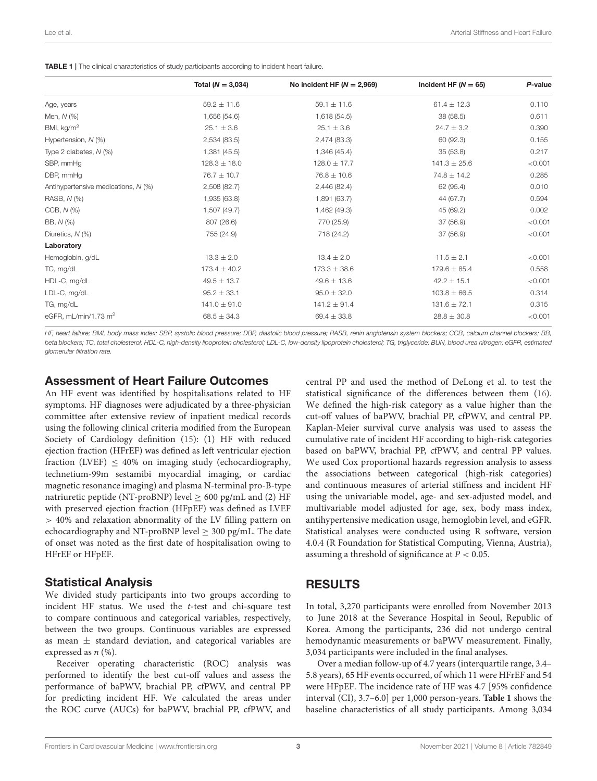<span id="page-2-0"></span>

|                                     | Total ( $N = 3,034$ ) | No incident HF ( $N = 2,969$ ) | Incident HF $(N = 65)$ | P-value |
|-------------------------------------|-----------------------|--------------------------------|------------------------|---------|
| Age, years                          | $59.2 \pm 11.6$       | $59.1 \pm 11.6$                | $61.4 \pm 12.3$        | 0.110   |
| Men, N (%)                          | 1,656 (54.6)          | 1,618 (54.5)                   | 38 (58.5)              | 0.611   |
| BMI, $kg/m2$                        | $25.1 \pm 3.6$        | $25.1 \pm 3.6$                 | $24.7 \pm 3.2$         | 0.390   |
| Hypertension, N (%)                 | 2,534 (83.5)          | 2,474 (83.3)                   | 60 (92.3)              | 0.155   |
| Type 2 diabetes, $N$ (%)            | 1,381 (45.5)          | 1,346 (45.4)                   | 35(53.8)               | 0.217   |
| SBP. mmHa                           | $128.3 \pm 18.0$      | $128.0 \pm 17.7$               | $141.3 \pm 25.6$       | < 0.001 |
| DBP, mmHq                           | $76.7 \pm 10.7$       | $76.8 \pm 10.6$                | $74.8 \pm 14.2$        | 0.285   |
| Antihypertensive medications, N (%) | 2,508 (82.7)          | 2,446 (82.4)                   | 62 (95.4)              | 0.010   |
| RASB, N (%)                         | 1,935 (63.8)          | 1,891 (63.7)                   | 44 (67.7)              | 0.594   |
| $CCB, N (\%)$                       | 1,507 (49.7)          | 1,462 (49.3)                   | 45 (69.2)              | 0.002   |
| BB, N (%)                           | 807 (26.6)            | 770 (25.9)                     | 37 (56.9)              | < 0.001 |
| Diuretics, N (%)                    | 755 (24.9)            | 718 (24.2)                     | 37 (56.9)              | < 0.001 |
| Laboratory                          |                       |                                |                        |         |
| Hemoglobin, g/dL                    | $13.3 \pm 2.0$        | $13.4 \pm 2.0$                 | $11.5 \pm 2.1$         | < 0.001 |
| TC, mg/dL                           | $173.4 \pm 40.2$      | $173.3 \pm 38.6$               | $179.6 \pm 85.4$       | 0.558   |
| HDL-C, mg/dL                        | $49.5 \pm 13.7$       | $49.6 \pm 13.6$                | $42.2 \pm 15.1$        | < 0.001 |
| LDL-C, mg/dL                        | $95.2 \pm 33.1$       | $95.0 \pm 32.0$                | $103.8 \pm 66.5$       | 0.314   |
| TG, mg/dL                           | $141.0 \pm 91.0$      | $141.2 \pm 91.4$               | $131.6 \pm 72.1$       | 0.315   |
| eGFR. $mL/min/1.73$ $m2$            | $68.5 \pm 34.3$       | $69.4 \pm 33.8$                | $28.8 \pm 30.8$        | < 0.001 |

*HF, heart failure; BMI, body mass index; SBP, systolic blood pressure; DBP, diastolic blood pressure; RASB, renin angiotensin system blockers; CCB, calcium channel blockers; BB, beta blockers; TC, total cholesterol; HDL-C, high-density lipoprotein cholesterol; LDL-C, low-density lipoprotein cholesterol; TG, triglyceride; BUN, blood urea nitrogen; eGFR, estimated glomerular filtration rate.*

## Assessment of Heart Failure Outcomes

An HF event was identified by hospitalisations related to HF symptoms. HF diagnoses were adjudicated by a three-physician committee after extensive review of inpatient medical records using the following clinical criteria modified from the European Society of Cardiology definition [\(15\)](#page-7-14): (1) HF with reduced ejection fraction (HFrEF) was defined as left ventricular ejection fraction (LVEF)  $\leq$  40% on imaging study (echocardiography, technetium-99m sestamibi myocardial imaging, or cardiac magnetic resonance imaging) and plasma N-terminal pro-B-type natriuretic peptide (NT-proBNP) level  $\geq 600$  pg/mL and (2) HF with preserved ejection fraction (HFpEF) was defined as LVEF > 40% and relaxation abnormality of the LV filling pattern on echocardiography and NT-proBNP level  $\geq$  300 pg/mL. The date of onset was noted as the first date of hospitalisation owing to HFrEF or HFpEF.

#### Statistical Analysis

We divided study participants into two groups according to incident HF status. We used the t-test and chi-square test to compare continuous and categorical variables, respectively, between the two groups. Continuous variables are expressed as mean  $\pm$  standard deviation, and categorical variables are expressed as  $n$  (%).

Receiver operating characteristic (ROC) analysis was performed to identify the best cut-off values and assess the performance of baPWV, brachial PP, cfPWV, and central PP for predicting incident HF. We calculated the areas under the ROC curve (AUCs) for baPWV, brachial PP, cfPWV, and

central PP and used the method of DeLong et al. to test the statistical significance of the differences between them [\(16\)](#page-7-15). We defined the high-risk category as a value higher than the cut-off values of baPWV, brachial PP, cfPWV, and central PP. Kaplan-Meier survival curve analysis was used to assess the cumulative rate of incident HF according to high-risk categories based on baPWV, brachial PP, cfPWV, and central PP values. We used Cox proportional hazards regression analysis to assess the associations between categorical (high-risk categories) and continuous measures of arterial stiffness and incident HF using the univariable model, age- and sex-adjusted model, and multivariable model adjusted for age, sex, body mass index, antihypertensive medication usage, hemoglobin level, and eGFR. Statistical analyses were conducted using R software, version 4.0.4 (R Foundation for Statistical Computing, Vienna, Austria), assuming a threshold of significance at  $P < 0.05$ .

## RESULTS

In total, 3,270 participants were enrolled from November 2013 to June 2018 at the Severance Hospital in Seoul, Republic of Korea. Among the participants, 236 did not undergo central hemodynamic measurements or baPWV measurement. Finally, 3,034 participants were included in the final analyses.

Over a median follow-up of 4.7 years (interquartile range, 3.4– 5.8 years), 65 HF events occurred, of which 11 were HFrEF and 54 were HFpEF. The incidence rate of HF was 4.7 [95% confidence interval (CI), 3.7–6.0] per 1,000 person-years. **[Table 1](#page-2-0)** shows the baseline characteristics of all study participants. Among 3,034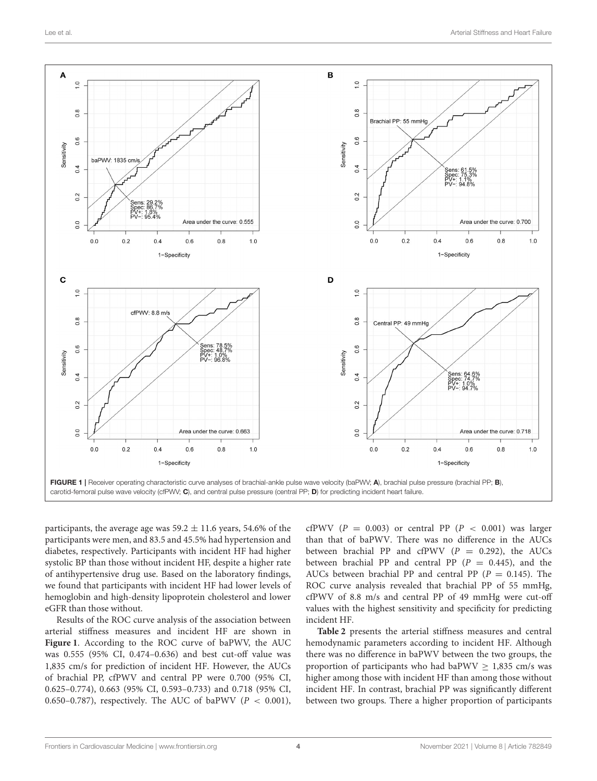

<span id="page-3-0"></span>participants, the average age was  $59.2 \pm 11.6$  years, 54.6% of the participants were men, and 83.5 and 45.5% had hypertension and diabetes, respectively. Participants with incident HF had higher systolic BP than those without incident HF, despite a higher rate of antihypertensive drug use. Based on the laboratory findings, we found that participants with incident HF had lower levels of hemoglobin and high-density lipoprotein cholesterol and lower eGFR than those without.

Results of the ROC curve analysis of the association between arterial stiffness measures and incident HF are shown in **[Figure 1](#page-3-0)**. According to the ROC curve of baPWV, the AUC was 0.555 (95% CI, 0.474–0.636) and best cut-off value was 1,835 cm/s for prediction of incident HF. However, the AUCs of brachial PP, cfPWV and central PP were 0.700 (95% CI, 0.625–0.774), 0.663 (95% CI, 0.593–0.733) and 0.718 (95% CI, 0.650–0.787), respectively. The AUC of baPWV ( $P < 0.001$ ), cfPWV ( $P = 0.003$ ) or central PP ( $P < 0.001$ ) was larger than that of baPWV. There was no difference in the AUCs between brachial PP and cfPWV  $(P = 0.292)$ , the AUCs between brachial PP and central PP  $(P = 0.445)$ , and the AUCs between brachial PP and central PP ( $P = 0.145$ ). The ROC curve analysis revealed that brachial PP of 55 mmHg, cfPWV of 8.8 m/s and central PP of 49 mmHg were cut-off values with the highest sensitivity and specificity for predicting incident HF.

**[Table 2](#page-4-0)** presents the arterial stiffness measures and central hemodynamic parameters according to incident HF. Although there was no difference in baPWV between the two groups, the proportion of participants who had baPWV  $> 1,835$  cm/s was higher among those with incident HF than among those without incident HF. In contrast, brachial PP was significantly different between two groups. There a higher proportion of participants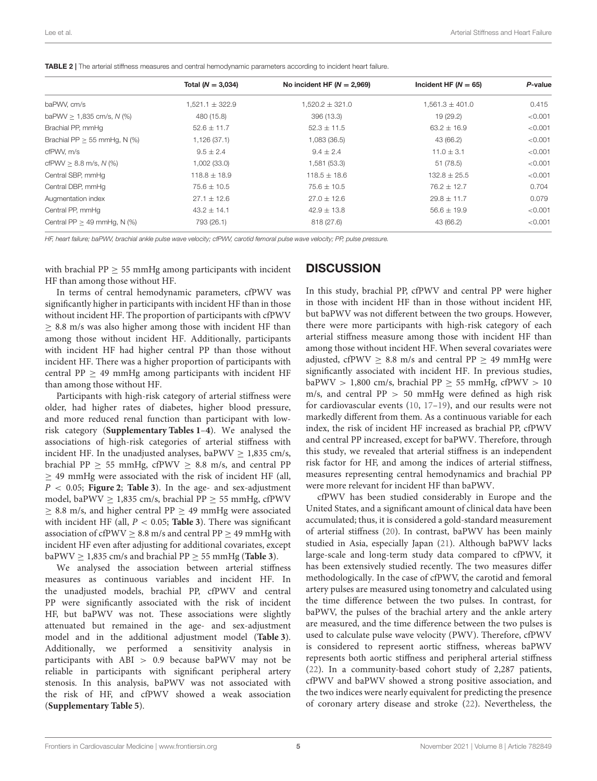<span id="page-4-0"></span>

|  | <b>TABLE 2</b>   The arterial stiffness measures and central hemodynamic parameters according to incident heart failure. |
|--|--------------------------------------------------------------------------------------------------------------------------|
|--|--------------------------------------------------------------------------------------------------------------------------|

|                                   | Total ( $N = 3,034$ ) | No incident HF $(N = 2,969)$ | Incident HF ( $N = 65$ ) | P-value |
|-----------------------------------|-----------------------|------------------------------|--------------------------|---------|
| baPWV, cm/s                       | $1.521.1 \pm 322.9$   | $1.520.2 \pm 321.0$          | $1.561.3 \pm 401.0$      | 0.415   |
| baPWV $> 1,835$ cm/s, N (%)       | 480 (15.8)            | 396 (13.3)                   | 19 (29.2)                | < 0.001 |
| Brachial PP, mmHg                 | $52.6 \pm 11.7$       | $52.3 \pm 11.5$              | $63.2 \pm 16.9$          | < 0.001 |
| Brachial PP $> 55$ mmHg, N $(\%)$ | 1,126(37.1)           | 1,083 (36.5)                 | 43 (66.2)                | < 0.001 |
| cfPWV. m/s                        | $9.5 \pm 2.4$         | $9.4 \pm 2.4$                | $11.0 \pm 3.1$           | < 0.001 |
| cfPWV $> 8.8$ m/s, N (%)          | 1,002(33.0)           | 1,581 (53.3)                 | 51 (78.5)                | < 0.001 |
| Central SBP, mmHg                 | $118.8 \pm 18.9$      | $118.5 \pm 18.6$             | $132.8 \pm 25.5$         | < 0.001 |
| Central DBP, mmHg                 | $75.6 \pm 10.5$       | $75.6 \pm 10.5$              | $76.2 \pm 12.7$          | 0.704   |
| Augmentation index                | $27.1 \pm 12.6$       | $27.0 \pm 12.6$              | $29.8 \pm 11.7$          | 0.079   |
| Central PP, mmHg                  | $43.2 \pm 14.1$       | $42.9 \pm 13.8$              | $56.6 \pm 19.9$          | < 0.001 |
| Central $PP > 49$ mmHq, N $(\%)$  | 793 (26.1)            | 818 (27.6)                   | 43 (66.2)                | < 0.001 |

*HF, heart failure; baPWV, brachial ankle pulse wave velocity; cfPWV, carotid femoral pulse wave velocity; PP, pulse pressure.*

with brachial PP  $\geq$  55 mmHg among participants with incident HF than among those without HF.

#### **DISCUSSION**

In terms of central hemodynamic parameters, cfPWV was significantly higher in participants with incident HF than in those without incident HF. The proportion of participants with cfPWV  $\geq$  8.8 m/s was also higher among those with incident HF than among those without incident HF. Additionally, participants with incident HF had higher central PP than those without incident HF. There was a higher proportion of participants with central PP  $\geq$  49 mmHg among participants with incident HF than among those without HF.

Participants with high-risk category of arterial stiffness were older, had higher rates of diabetes, higher blood pressure, and more reduced renal function than participant with lowrisk category (**[Supplementary Tables 1](#page-7-16)**–**[4](#page-7-16)**). We analysed the associations of high-risk categories of arterial stiffness with incident HF. In the unadjusted analyses, baPWV  $\geq$  1,835 cm/s, brachial PP  $\geq$  55 mmHg, cfPWV  $\geq$  8.8 m/s, and central PP  $\geq$  49 mmHg were associated with the risk of incident HF (all, P < 0.05; **[Figure 2](#page-5-0)**; **[Table 3](#page-5-1)**). In the age- and sex-adjustment model, baPWV  $> 1,835$  cm/s, brachial PP  $> 55$  mmHg, cfPWV  $\geq$  8.8 m/s, and higher central PP  $\geq$  49 mmHg were associated with incident HF (all, P < 0.05; **[Table 3](#page-5-1)**). There was significant association of cfPWV  $> 8.8$  m/s and central PP  $> 49$  mmHg with incident HF even after adjusting for additional covariates, except baPWV  $\geq$  1,835 cm/s and brachial PP  $\geq$  55 mmHg (**[Table 3](#page-5-1)**).

We analysed the association between arterial stiffness measures as continuous variables and incident HF. In the unadjusted models, brachial PP, cfPWV and central PP were significantly associated with the risk of incident HF, but baPWV was not. These associations were slightly attenuated but remained in the age- and sex-adjustment model and in the additional adjustment model (**[Table 3](#page-5-1)**). Additionally, we performed a sensitivity analysis in participants with ABI > 0.9 because baPWV may not be reliable in participants with significant peripheral artery stenosis. In this analysis, baPWV was not associated with the risk of HF, and cfPWV showed a weak association (**[Supplementary Table 5](#page-7-16)**).

In this study, brachial PP, cfPWV and central PP were higher in those with incident HF than in those without incident HF, but baPWV was not different between the two groups. However, there were more participants with high-risk category of each arterial stiffness measure among those with incident HF than among those without incident HF. When several covariates were adjusted, cfPWV  $\geq$  8.8 m/s and central PP  $\geq$  49 mmHg were significantly associated with incident HF. In previous studies, baPWV > 1,800 cm/s, brachial PP  $\geq$  55 mmHg, cfPWV > 10 m/s, and central PP > 50 mmHg were defined as high risk for cardiovascular events [\(10,](#page-7-9) [17–](#page-7-17)[19\)](#page-7-18), and our results were not markedly different from them. As a continuous variable for each index, the risk of incident HF increased as brachial PP, cfPWV and central PP increased, except for baPWV. Therefore, through this study, we revealed that arterial stiffness is an independent risk factor for HF, and among the indices of arterial stiffness, measures representing central hemodynamics and brachial PP were more relevant for incident HF than baPWV.

cfPWV has been studied considerably in Europe and the United States, and a significant amount of clinical data have been accumulated; thus, it is considered a gold-standard measurement of arterial stiffness [\(20\)](#page-7-19). In contrast, baPWV has been mainly studied in Asia, especially Japan [\(21\)](#page-7-20). Although baPWV lacks large-scale and long-term study data compared to cfPWV, it has been extensively studied recently. The two measures differ methodologically. In the case of cfPWV, the carotid and femoral artery pulses are measured using tonometry and calculated using the time difference between the two pulses. In contrast, for baPWV, the pulses of the brachial artery and the ankle artery are measured, and the time difference between the two pulses is used to calculate pulse wave velocity (PWV). Therefore, cfPWV is considered to represent aortic stiffness, whereas baPWV represents both aortic stiffness and peripheral arterial stiffness [\(22\)](#page-7-21). In a community-based cohort study of 2,287 patients, cfPWV and baPWV showed a strong positive association, and the two indices were nearly equivalent for predicting the presence of coronary artery disease and stroke [\(22\)](#page-7-21). Nevertheless, the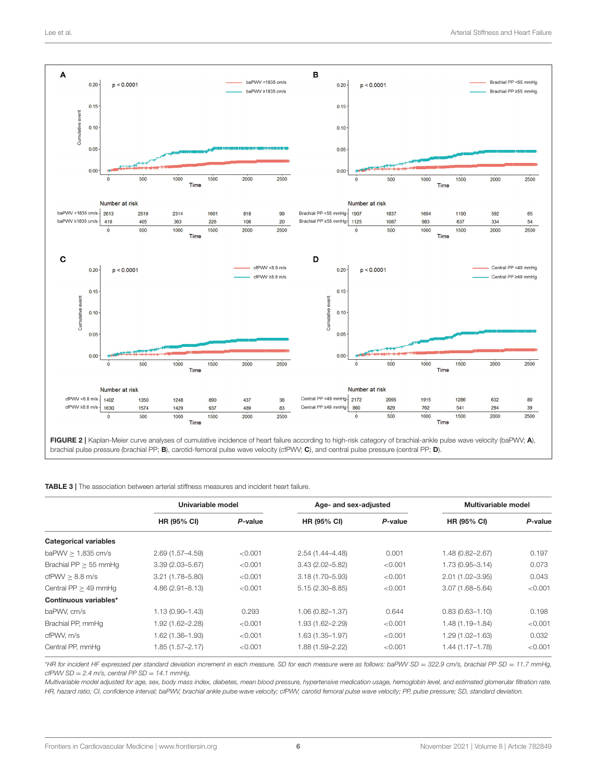

<span id="page-5-1"></span><span id="page-5-0"></span>

|                              | Univariable model   |         | Age- and sex-adjusted |         | Multivariable model |         |
|------------------------------|---------------------|---------|-----------------------|---------|---------------------|---------|
|                              | <b>HR (95% CI)</b>  | P-value | HR (95% CI)           | P-value | HR (95% CI)         | P-value |
| <b>Categorical variables</b> |                     |         |                       |         |                     |         |
| baPWV $> 1,835$ cm/s         | $2.69(1.57 - 4.59)$ | < 0.001 | $2.54(1.44 - 4.48)$   | 0.001   | 1.48 (0.82-2.67)    | 0.197   |
| Brachial $PP > 55$ mmHq      | $3.39(2.03 - 5.67)$ | < 0.001 | $3.43(2.02 - 5.82)$   | < 0.001 | $1.73(0.95 - 3.14)$ | 0.073   |
| cfPWV > 8.8 m/s              | $3.21(1.78 - 5.80)$ | < 0.001 | $3.18(1.70 - 5.93)$   | < 0.001 | $2.01(1.02 - 3.95)$ | 0.043   |
| Central $PP > 49$ mmHq       | $4.86(2.91 - 8.13)$ | < 0.001 | $5.15(2.30 - 8.85)$   | < 0.001 | $3.07(1.68 - 5.64)$ | < 0.001 |
| Continuous variables*        |                     |         |                       |         |                     |         |
| baPWV. cm/s                  | $1.13(0.90 - 1.43)$ | 0.293   | 1.06 (0.82-1.37)      | 0.644   | $0.83(0.63 - 1.10)$ | 0.198   |
| Brachial PP, mmHq            | 1.92 (1.62-2.28)    | < 0.001 | 1.93 (1.62-2.29)      | < 0.001 | $1.48(1.19 - 1.84)$ | < 0.001 |
| cfPWV. m/s                   | 1.62 (1.36-1.93)    | < 0.001 | 1.63 (1.35-1.97)      | < 0.001 | $1.29(1.02 - 1.63)$ | 0.032   |
| Central PP, mmHq             | 1.85 (1.57-2.17)    | < 0.001 | 1.88 (1.59-2.22)      | < 0.001 | $1.44(1.17-1.78)$   | < 0.001 |

\**HR for incident HF expressed per standard deviation increment in each measure. SD for each measure were as follows: baPWV SD* = *322.9 cm/s, brachial PP SD* = *11.7 mmHg, cfPWV SD* = *2.4 m/s, central PP SD* = *14.1 mmHg.*

*Multivariable model adjusted for age, sex, body mass index, diabetes, mean blood pressure, hypertensive medication usage, hemoglobin level, and estimated glomerular filtration rate. HR, hazard ratio; CI, confidence interval; baPWV, brachial ankle pulse wave velocity; cfPWV, carotid femoral pulse wave velocity; PP, pulse pressure; SD, standard deviation.*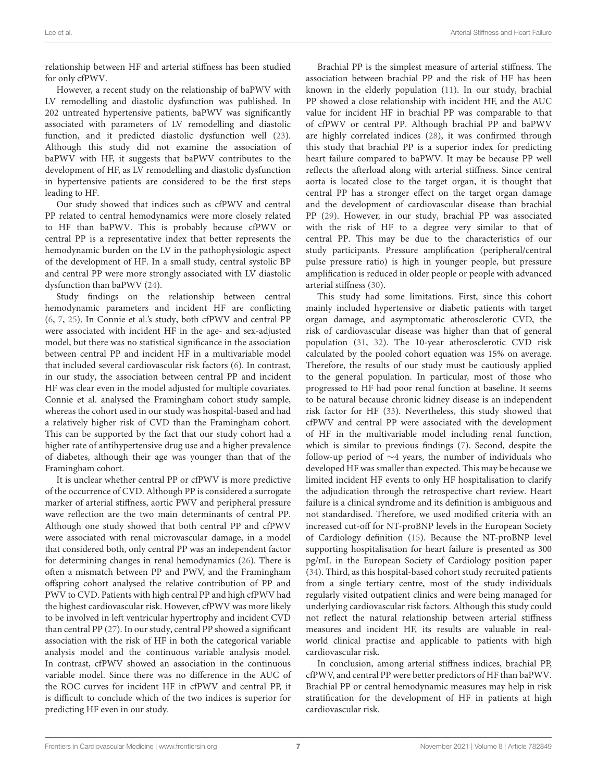relationship between HF and arterial stiffness has been studied for only cfPWV.

However, a recent study on the relationship of baPWV with LV remodelling and diastolic dysfunction was published. In 202 untreated hypertensive patients, baPWV was significantly associated with parameters of LV remodelling and diastolic function, and it predicted diastolic dysfunction well [\(23\)](#page-7-22). Although this study did not examine the association of baPWV with HF, it suggests that baPWV contributes to the development of HF, as LV remodelling and diastolic dysfunction in hypertensive patients are considered to be the first steps leading to HF.

Our study showed that indices such as cfPWV and central PP related to central hemodynamics were more closely related to HF than baPWV. This is probably because cfPWV or central PP is a representative index that better represents the hemodynamic burden on the LV in the pathophysiologic aspect of the development of HF. In a small study, central systolic BP and central PP were more strongly associated with LV diastolic dysfunction than baPWV [\(24\)](#page-7-23).

Study findings on the relationship between central hemodynamic parameters and incident HF are conflicting [\(6,](#page-7-5) [7,](#page-7-6) [25\)](#page-8-0). In Connie et al.'s study, both cfPWV and central PP were associated with incident HF in the age- and sex-adjusted model, but there was no statistical significance in the association between central PP and incident HF in a multivariable model that included several cardiovascular risk factors [\(6\)](#page-7-5). In contrast, in our study, the association between central PP and incident HF was clear even in the model adjusted for multiple covariates. Connie et al. analysed the Framingham cohort study sample, whereas the cohort used in our study was hospital-based and had a relatively higher risk of CVD than the Framingham cohort. This can be supported by the fact that our study cohort had a higher rate of antihypertensive drug use and a higher prevalence of diabetes, although their age was younger than that of the Framingham cohort.

It is unclear whether central PP or cfPWV is more predictive of the occurrence of CVD. Although PP is considered a surrogate marker of arterial stiffness, aortic PWV and peripheral pressure wave reflection are the two main determinants of central PP. Although one study showed that both central PP and cfPWV were associated with renal microvascular damage, in a model that considered both, only central PP was an independent factor for determining changes in renal hemodynamics [\(26\)](#page-8-1). There is often a mismatch between PP and PWV, and the Framingham offspring cohort analysed the relative contribution of PP and PWV to CVD. Patients with high central PP and high cfPWV had the highest cardiovascular risk. However, cfPWV was more likely to be involved in left ventricular hypertrophy and incident CVD than central PP [\(27\)](#page-8-2). In our study, central PP showed a significant association with the risk of HF in both the categorical variable analysis model and the continuous variable analysis model. In contrast, cfPWV showed an association in the continuous variable model. Since there was no difference in the AUC of the ROC curves for incident HF in cfPWV and central PP, it is difficult to conclude which of the two indices is superior for predicting HF even in our study.

Brachial PP is the simplest measure of arterial stiffness. The association between brachial PP and the risk of HF has been known in the elderly population [\(11\)](#page-7-10). In our study, brachial PP showed a close relationship with incident HF, and the AUC value for incident HF in brachial PP was comparable to that of cfPWV or central PP. Although brachial PP and baPWV are highly correlated indices [\(28\)](#page-8-3), it was confirmed through this study that brachial PP is a superior index for predicting heart failure compared to baPWV. It may be because PP well reflects the afterload along with arterial stiffness. Since central aorta is located close to the target organ, it is thought that central PP has a stronger effect on the target organ damage and the development of cardiovascular disease than brachial PP [\(29\)](#page-8-4). However, in our study, brachial PP was associated with the risk of HF to a degree very similar to that of central PP. This may be due to the characteristics of our study participants. Pressure amplification (peripheral/central pulse pressure ratio) is high in younger people, but pressure amplification is reduced in older people or people with advanced arterial stiffness [\(30\)](#page-8-5).

This study had some limitations. First, since this cohort mainly included hypertensive or diabetic patients with target organ damage, and asymptomatic atherosclerotic CVD, the risk of cardiovascular disease was higher than that of general population [\(31,](#page-8-6) [32\)](#page-8-7). The 10-year atherosclerotic CVD risk calculated by the pooled cohort equation was 15% on average. Therefore, the results of our study must be cautiously applied to the general population. In particular, most of those who progressed to HF had poor renal function at baseline. It seems to be natural because chronic kidney disease is an independent risk factor for HF [\(33\)](#page-8-8). Nevertheless, this study showed that cfPWV and central PP were associated with the development of HF in the multivariable model including renal function, which is similar to previous findings [\(7\)](#page-7-6). Second, despite the follow-up period of ∼4 years, the number of individuals who developed HF was smaller than expected. This may be because we limited incident HF events to only HF hospitalisation to clarify the adjudication through the retrospective chart review. Heart failure is a clinical syndrome and its definition is ambiguous and not standardised. Therefore, we used modified criteria with an increased cut-off for NT-proBNP levels in the European Society of Cardiology definition [\(15\)](#page-7-14). Because the NT-proBNP level supporting hospitalisation for heart failure is presented as 300 pg/mL in the European Society of Cardiology position paper [\(34\)](#page-8-9). Third, as this hospital-based cohort study recruited patients from a single tertiary centre, most of the study individuals regularly visited outpatient clinics and were being managed for underlying cardiovascular risk factors. Although this study could not reflect the natural relationship between arterial stiffness measures and incident HF, its results are valuable in realworld clinical practise and applicable to patients with high cardiovascular risk.

In conclusion, among arterial stiffness indices, brachial PP, cfPWV, and central PP were better predictors of HF than baPWV. Brachial PP or central hemodynamic measures may help in risk stratification for the development of HF in patients at high cardiovascular risk.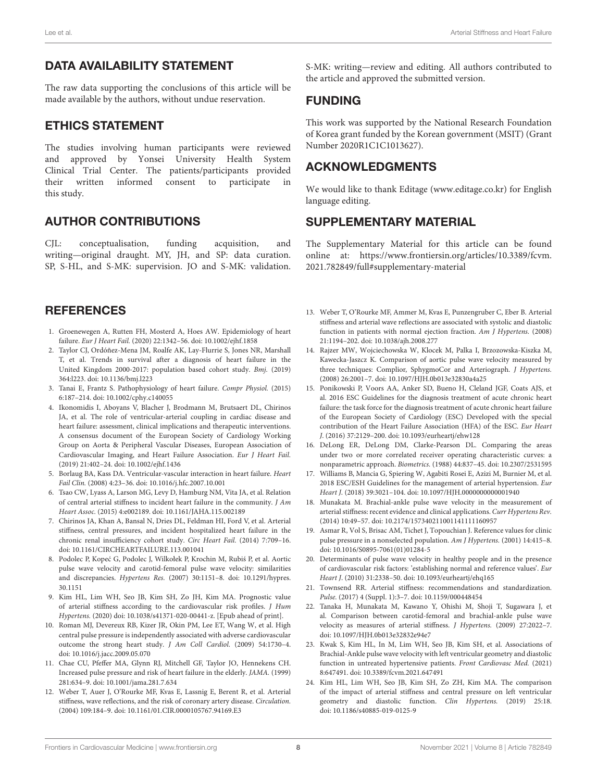## DATA AVAILABILITY STATEMENT

The raw data supporting the conclusions of this article will be made available by the authors, without undue reservation.

## ETHICS STATEMENT

The studies involving human participants were reviewed and approved by Yonsei University Health System Clinical Trial Center. The patients/participants provided their written informed consent to participate in this study.

## AUTHOR CONTRIBUTIONS

CJL: conceptualisation, funding acquisition, and writing—original draught. MY, JH, and SP: data curation. SP, S-HL, and S-MK: supervision. JO and S-MK: validation.

## **REFERENCES**

- <span id="page-7-0"></span>1. Groenewegen A, Rutten FH, Mosterd A, Hoes AW. Epidemiology of heart failure. Eur J Heart Fail. (2020) 22:1342–56. doi: [10.1002/ejhf.1858](https://doi.org/10.1002/ejhf.1858)
- <span id="page-7-1"></span>2. Taylor CJ, Ordóñez-Mena JM, Roalfe AK, Lay-Flurrie S, Jones NR, Marshall T, et al. Trends in survival after a diagnosis of heart failure in the United Kingdom 2000-2017: population based cohort study. Bmj. (2019) 364:l223. doi: [10.1136/bmj.l223](https://doi.org/10.1136/bmj.l223)
- <span id="page-7-2"></span>3. Tanai E, Frantz S. Pathophysiology of heart failure. Compr Physiol. (2015) 6:187–214. doi: [10.1002/cphy.c140055](https://doi.org/10.1002/cphy.c140055)
- <span id="page-7-3"></span>4. Ikonomidis I, Aboyans V, Blacher J, Brodmann M, Brutsaert DL, Chirinos JA, et al. The role of ventricular-arterial coupling in cardiac disease and heart failure: assessment, clinical implications and therapeutic interventions. A consensus document of the European Society of Cardiology Working Group on Aorta & Peripheral Vascular Diseases, European Association of Cardiovascular Imaging, and Heart Failure Association. Eur J Heart Fail. (2019) 21:402–24. doi: [10.1002/ejhf.1436](https://doi.org/10.1002/ejhf.1436)
- <span id="page-7-4"></span>5. Borlaug BA, Kass DA. Ventricular-vascular interaction in heart failure. Heart Fail Clin. (2008) 4:23–36. doi: [10.1016/j.hfc.2007.10.001](https://doi.org/10.1016/j.hfc.2007.10.001)
- <span id="page-7-5"></span>6. Tsao CW, Lyass A, Larson MG, Levy D, Hamburg NM, Vita JA, et al. Relation of central arterial stiffness to incident heart failure in the community. J Am Heart Assoc. (2015) 4:e002189. doi: [10.1161/JAHA.115.002189](https://doi.org/10.1161/JAHA.115.002189)
- <span id="page-7-6"></span>7. Chirinos JA, Khan A, Bansal N, Dries DL, Feldman HI, Ford V, et al. Arterial stiffness, central pressures, and incident hospitalized heart failure in the chronic renal insufficiency cohort study. Circ Heart Fail. (2014) 7:709–16. doi: [10.1161/CIRCHEARTFAILURE.113.001041](https://doi.org/10.1161/CIRCHEARTFAILURE.113.001041)
- <span id="page-7-7"></span>8. Podolec P, Kopeć G, Podolec J, Wilkołek P, Krochin M, Rubiś P, et al. Aortic pulse wave velocity and carotid-femoral pulse wave velocity: similarities and discrepancies. Hypertens Res. [\(2007\) 30:1151–8. doi: 10.1291/hypres.](https://doi.org/10.1291/hypres.30.1151) 30.1151
- <span id="page-7-8"></span>9. Kim HL, Lim WH, Seo JB, Kim SH, Zo JH, Kim MA. Prognostic value of arterial stiffness according to the cardiovascular risk profiles. J Hum Hypertens. (2020) doi: [10.1038/s41371-020-00441-z.](https://doi.org/10.1038/s41371-020-00441-z) [Epub ahead of print].
- <span id="page-7-9"></span>10. Roman MJ, Devereux RB, Kizer JR, Okin PM, Lee ET, Wang W, et al. High central pulse pressure is independently associated with adverse cardiovascular outcome the strong heart study. J Am Coll Cardiol. (2009) 54:1730–4. doi: [10.1016/j.jacc.2009.05.070](https://doi.org/10.1016/j.jacc.2009.05.070)
- <span id="page-7-10"></span>11. Chae CU, Pfeffer MA, Glynn RJ, Mitchell GF, Taylor JO, Hennekens CH. Increased pulse pressure and risk of heart failure in the elderly. JAMA. (1999) 281:634–9. doi: [10.1001/jama.281.7.634](https://doi.org/10.1001/jama.281.7.634)
- <span id="page-7-11"></span>12. Weber T, Auer J, O'Rourke MF, Kvas E, Lassnig E, Berent R, et al. Arterial stiffness, wave reflections, and the risk of coronary artery disease. Circulation. (2004) 109:184–9. doi: [10.1161/01.CIR.0000105767.94169.E3](https://doi.org/10.1161/01.CIR.0000105767.94169.E3)

S-MK: writing—review and editing. All authors contributed to the article and approved the submitted version.

#### FUNDING

This work was supported by the National Research Foundation of Korea grant funded by the Korean government (MSIT) (Grant Number 2020R1C1C1013627).

## ACKNOWLEDGMENTS

We would like to thank Editage [\(www.editage.co.kr\)](http://www.editage.co.kr) for English language editing.

## SUPPLEMENTARY MATERIAL

<span id="page-7-16"></span>The Supplementary Material for this article can be found [online at: https://www.frontiersin.org/articles/10.3389/fcvm.](https://www.frontiersin.org/articles/10.3389/fcvm.2021.782849/full#supplementary-material) 2021.782849/full#supplementary-material

- <span id="page-7-12"></span>13. Weber T, O'Rourke MF, Ammer M, Kvas E, Punzengruber C, Eber B. Arterial stiffness and arterial wave reflections are associated with systolic and diastolic function in patients with normal ejection fraction. Am J Hypertens. (2008) 21:1194–202. doi: [10.1038/ajh.2008.277](https://doi.org/10.1038/ajh.2008.277)
- <span id="page-7-13"></span>14. Rajzer MW, Wojciechowska W, Klocek M, Palka I, Brzozowska-Kiszka M, Kawecka-Jaszcz K. Comparison of aortic pulse wave velocity measured by three techniques: Complior, SphygmoCor and Arteriograph. J Hypertens. (2008) 26:2001–7. doi: [10.1097/HJH.0b013e32830a4a25](https://doi.org/10.1097/HJH.0b013e32830a4a25)
- <span id="page-7-14"></span>15. Ponikowski P, Voors AA, Anker SD, Bueno H, Cleland JGF, Coats AJS, et al. 2016 ESC Guidelines for the diagnosis treatment of acute chronic heart failure: the task force for the diagnosis treatment of acute chronic heart failure of the European Society of Cardiology (ESC) Developed with the special contribution of the Heart Failure Association (HFA) of the ESC. Eur Heart J. (2016) 37:2129–200. doi: [10.1093/eurheartj/ehw128](https://doi.org/10.1093/eurheartj/ehw128)
- <span id="page-7-15"></span>16. DeLong ER, DeLong DM, Clarke-Pearson DL. Comparing the areas under two or more correlated receiver operating characteristic curves: a nonparametric approach. Biometrics. (1988) 44:837–45. doi: [10.2307/2531595](https://doi.org/10.2307/2531595)
- <span id="page-7-17"></span>17. Williams B, Mancia G, Spiering W, Agabiti Rosei E, Azizi M, Burnier M, et al. 2018 ESC/ESH Guidelines for the management of arterial hypertension. Eur Heart J. (2018) 39:3021–104. doi: [10.1097/HJH.0000000000001940](https://doi.org/10.1097/HJH.0000000000001940)
- 18. Munakata M. Brachial-ankle pulse wave velocity in the measurement of arterial stiffness: recent evidence and clinical applications. Curr Hypertens Rev. (2014) 10:49–57. doi: [10.2174/157340211001141111160957](https://doi.org/10.2174/157340211001141111160957)
- <span id="page-7-18"></span>19. Asmar R, Vol S, Brisac AM, Tichet J, Topouchian J. Reference values for clinic pulse pressure in a nonselected population. Am J Hypertens. (2001) 14:415–8. doi: [10.1016/S0895-7061\(01\)01284-5](https://doi.org/10.1016/S0895-7061(01)01284-5)
- <span id="page-7-19"></span>20. Determinants of pulse wave velocity in healthy people and in the presence of cardiovascular risk factors: 'establishing normal and reference values'. Eur Heart J. (2010) 31:2338–50. doi: [10.1093/eurheartj/ehq165](https://doi.org/10.1093/eurheartj/ehq165)
- <span id="page-7-20"></span>21. Townsend RR. Arterial stiffness: recommendations and standardization. Pulse. (2017) 4 (Suppl. 1):3–7. doi: [10.1159/000448454](https://doi.org/10.1159/000448454)
- <span id="page-7-21"></span>22. Tanaka H, Munakata M, Kawano Y, Ohishi M, Shoji T, Sugawara J, et al. Comparison between carotid-femoral and brachial-ankle pulse wave velocity as measures of arterial stiffness. J Hypertens. (2009) 27:2022–7. doi: [10.1097/HJH.0b013e32832e94e7](https://doi.org/10.1097/HJH.0b013e32832e94e7)
- <span id="page-7-22"></span>23. Kwak S, Kim HL, In M, Lim WH, Seo JB, Kim SH, et al. Associations of Brachial-Ankle pulse wave velocity with left ventricular geometry and diastolic function in untreated hypertensive patients. Front Cardiovasc Med. (2021) 8:647491. doi: [10.3389/fcvm.2021.647491](https://doi.org/10.3389/fcvm.2021.647491)
- <span id="page-7-23"></span>24. Kim HL, Lim WH, Seo JB, Kim SH, Zo ZH, Kim MA. The comparison of the impact of arterial stiffness and central pressure on left ventricular geometry and diastolic function. Clin Hypertens. (2019) 25:18. doi: [10.1186/s40885-019-0125-9](https://doi.org/10.1186/s40885-019-0125-9)